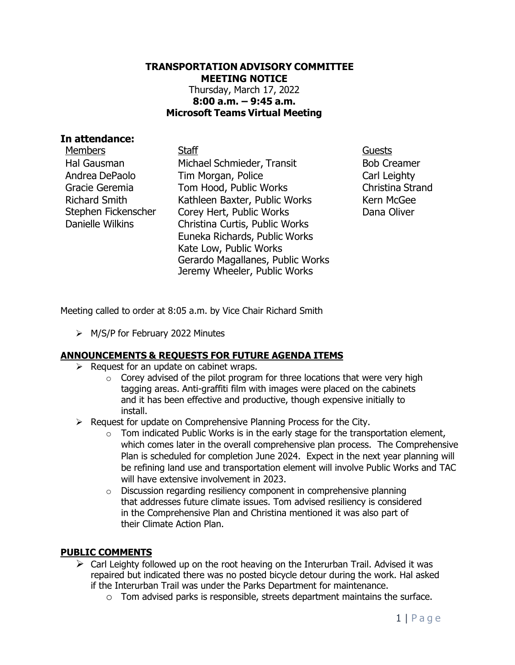#### **TRANSPORTATION ADVISORY COMMITTEE MEETING NOTICE** Thursday, March 17, 2022 **8:00 a.m. – 9:45 a.m. Microsoft Teams Virtual Meeting**

#### **In attendance:**

Hal Gausman Andrea DePaolo Gracie Geremia Richard Smith Stephen Fickenscher Danielle Wilkins

Members **Staff Guests** Staff Guests Michael Schmieder, Transit Tim Morgan, Police Tom Hood, Public Works Kathleen Baxter, Public Works Corey Hert, Public Works Christina Curtis, Public Works Euneka Richards, Public Works Kate Low, Public Works Gerardo Magallanes, Public Works Jeremy Wheeler, Public Works

Bob Creamer Carl Leighty Christina Strand Kern McGee Dana Oliver

Meeting called to order at 8:05 a.m. by Vice Chair Richard Smith

➢ M/S/P for February 2022 Minutes

#### **ANNOUNCEMENTS & REQUESTS FOR FUTURE AGENDA ITEMS**

- $\triangleright$  Request for an update on cabinet wraps.
	- $\circ$  Corey advised of the pilot program for three locations that were very high tagging areas. Anti-graffiti film with images were placed on the cabinets and it has been effective and productive, though expensive initially to install.
- ➢ Request for update on Comprehensive Planning Process for the City.
	- $\circ$  Tom indicated Public Works is in the early stage for the transportation element, which comes later in the overall comprehensive plan process. The Comprehensive Plan is scheduled for completion June 2024. Expect in the next year planning will be refining land use and transportation element will involve Public Works and TAC will have extensive involvement in 2023.
	- o Discussion regarding resiliency component in comprehensive planning that addresses future climate issues. Tom advised resiliency is considered in the Comprehensive Plan and Christina mentioned it was also part of their Climate Action Plan.

#### **PUBLIC COMMENTS**

- $\triangleright$  Carl Leighty followed up on the root heaving on the Interurban Trail. Advised it was repaired but indicated there was no posted bicycle detour during the work. Hal asked if the Interurban Trail was under the Parks Department for maintenance.
	- $\circ$  Tom advised parks is responsible, streets department maintains the surface.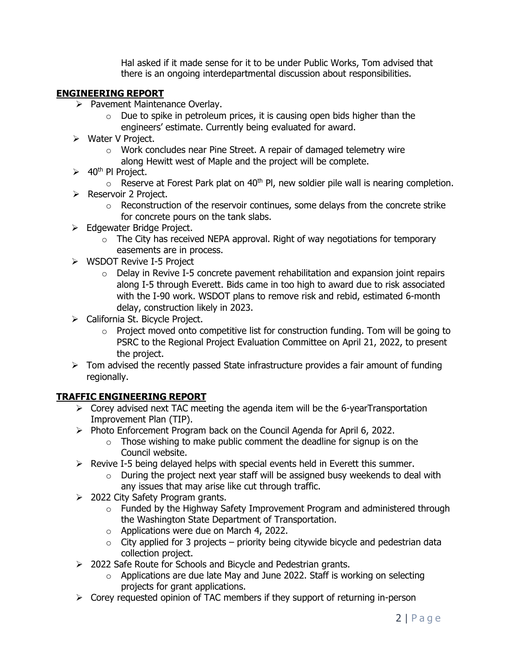Hal asked if it made sense for it to be under Public Works, Tom advised that there is an ongoing interdepartmental discussion about responsibilities.

## **ENGINEERING REPORT**

- ➢ Pavement Maintenance Overlay.
	- $\circ$  Due to spike in petroleum prices, it is causing open bids higher than the engineers' estimate. Currently being evaluated for award.
- ➢ Water V Project.
	- o Work concludes near Pine Street. A repair of damaged telemetry wire along Hewitt west of Maple and the project will be complete.
- $\geq$  40<sup>th</sup> PI Project.
	- $\circ$  Reserve at Forest Park plat on 40<sup>th</sup> Pl, new soldier pile wall is nearing completion.
- ➢ Reservoir 2 Project.
	- $\circ$  Reconstruction of the reservoir continues, some delays from the concrete strike for concrete pours on the tank slabs.
- ➢ Edgewater Bridge Project.
	- $\circ$  The City has received NEPA approval. Right of way negotiations for temporary easements are in process.
- ➢ WSDOT Revive I-5 Project
	- $\circ$  Delay in Revive I-5 concrete pavement rehabilitation and expansion joint repairs along I-5 through Everett. Bids came in too high to award due to risk associated with the I-90 work. WSDOT plans to remove risk and rebid, estimated 6-month delay, construction likely in 2023.
- ➢ California St. Bicycle Project.
	- $\circ$  Project moved onto competitive list for construction funding. Tom will be going to PSRC to the Regional Project Evaluation Committee on April 21, 2022, to present the project.
- ➢ Tom advised the recently passed State infrastructure provides a fair amount of funding regionally.

# **TRAFFIC ENGINEERING REPORT**

- $\triangleright$  Corey advised next TAC meeting the agenda item will be the 6-yearTransportation Improvement Plan (TIP).
- ➢ Photo Enforcement Program back on the Council Agenda for April 6, 2022.
	- $\circ$  Those wishing to make public comment the deadline for signup is on the Council website.
- $\triangleright$  Revive I-5 being delayed helps with special events held in Everett this summer.
	- $\circ$  During the project next year staff will be assigned busy weekends to deal with any issues that may arise like cut through traffic.
- ➢ 2022 City Safety Program grants.
	- o Funded by the Highway Safety Improvement Program and administered through the Washington State Department of Transportation.
	- o Applications were due on March 4, 2022.
	- $\circ$  City applied for 3 projects priority being citywide bicycle and pedestrian data collection project.
- ➢ 2022 Safe Route for Schools and Bicycle and Pedestrian grants.
	- $\circ$  Applications are due late May and June 2022. Staff is working on selecting projects for grant applications.
- ➢ Corey requested opinion of TAC members if they support of returning in-person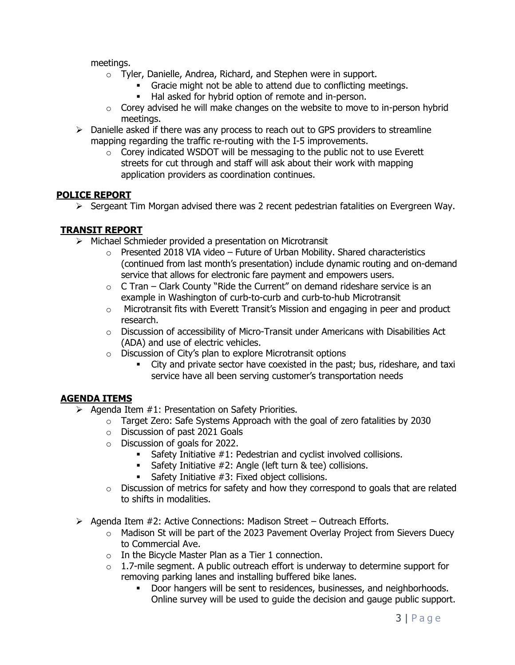meetings.

- o Tyler, Danielle, Andrea, Richard, and Stephen were in support.
	- **•** Gracie might not be able to attend due to conflicting meetings.
	- Hal asked for hybrid option of remote and in-person.
- $\circ$  Corey advised he will make changes on the website to move to in-person hybrid meetings.
- $\triangleright$  Danielle asked if there was any process to reach out to GPS providers to streamline mapping regarding the traffic re-routing with the I-5 improvements.
	- o Corey indicated WSDOT will be messaging to the public not to use Everett streets for cut through and staff will ask about their work with mapping application providers as coordination continues.

### **POLICE REPORT**

 $\triangleright$  Sergeant Tim Morgan advised there was 2 recent pedestrian fatalities on Evergreen Way.

### **TRANSIT REPORT**

- ➢ Michael Schmieder provided a presentation on Microtransit
	- $\circ$  Presented 2018 VIA video Future of Urban Mobility. Shared characteristics (continued from last month's presentation) include dynamic routing and on-demand service that allows for electronic fare payment and empowers users.
	- $\circ$  C Tran Clark County "Ride the Current" on demand rideshare service is an example in Washington of curb-to-curb and curb-to-hub Microtransit
	- $\circ$  Microtransit fits with Everett Transit's Mission and engaging in peer and product research.
	- $\circ$  Discussion of accessibility of Micro-Transit under Americans with Disabilities Act (ADA) and use of electric vehicles.
	- o Discussion of City's plan to explore Microtransit options
		- City and private sector have coexisted in the past; bus, rideshare, and taxi service have all been serving customer's transportation needs

# **AGENDA ITEMS**

- $\triangleright$  Agenda Item #1: Presentation on Safety Priorities.
	- $\circ$  Target Zero: Safe Systems Approach with the goal of zero fatalities by 2030
	- o Discussion of past 2021 Goals
	- o Discussion of goals for 2022.
		- Safety Initiative  $#1$ : Pedestrian and cyclist involved collisions.
		- Safety Initiative #2: Angle (left turn & tee) collisions.
		- Safety Initiative  $#3$ : Fixed object collisions.
	- $\circ$  Discussion of metrics for safety and how they correspond to goals that are related to shifts in modalities.
- ➢ Agenda Item #2: Active Connections: Madison Street Outreach Efforts.
	- $\circ$  Madison St will be part of the 2023 Pavement Overlay Project from Sievers Duecy to Commercial Ave.
	- $\circ$  In the Bicycle Master Plan as a Tier 1 connection.
	- $\circ$  1.7-mile segment. A public outreach effort is underway to determine support for removing parking lanes and installing buffered bike lanes.
		- Door hangers will be sent to residences, businesses, and neighborhoods. Online survey will be used to guide the decision and gauge public support.